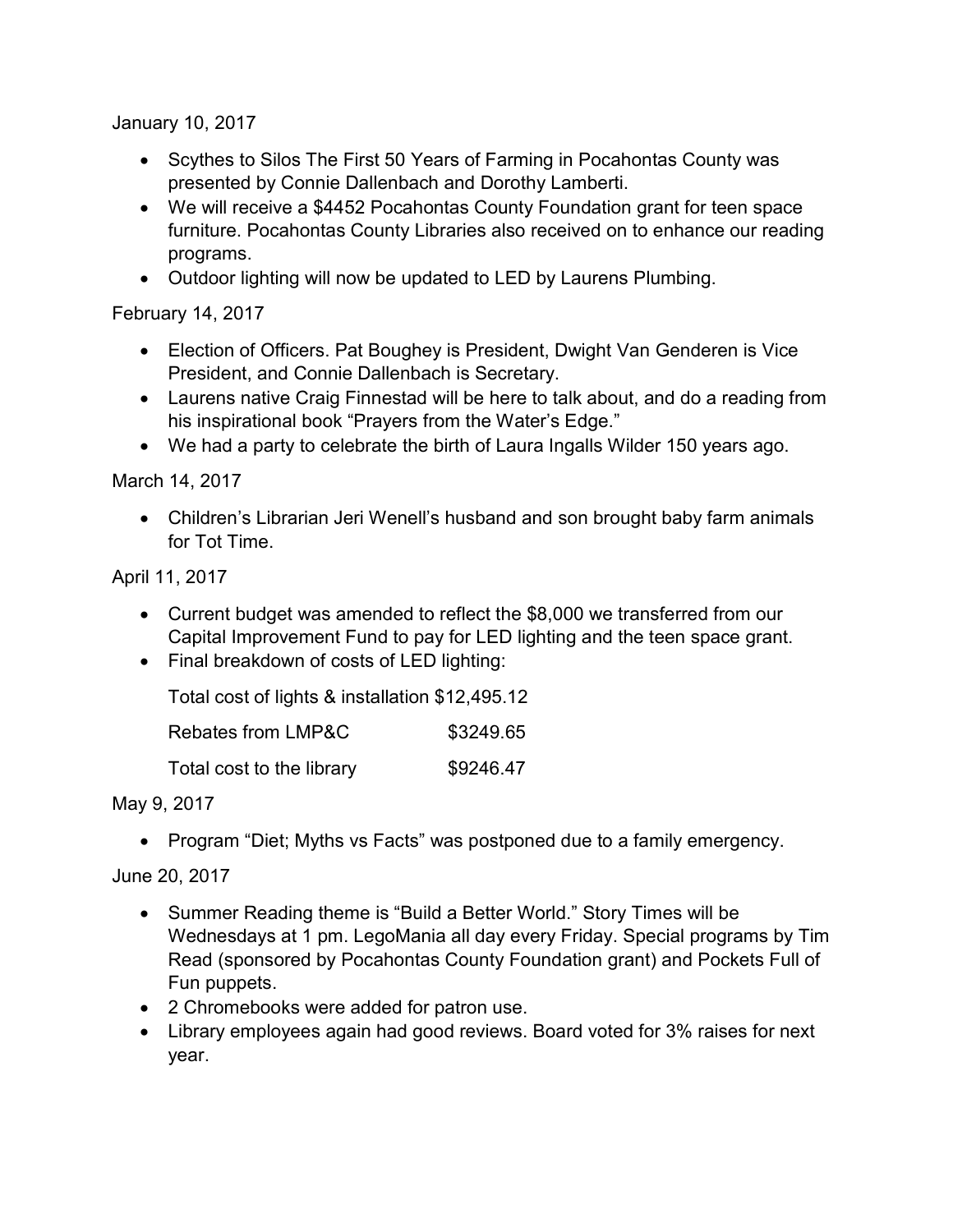January 10, 2017

- Scythes to Silos The First 50 Years of Farming in Pocahontas County was presented by Connie Dallenbach and Dorothy Lamberti.
- We will receive a \$4452 Pocahontas County Foundation grant for teen space furniture. Pocahontas County Libraries also received on to enhance our reading programs.
- Outdoor lighting will now be updated to LED by Laurens Plumbing.

February 14, 2017

- Election of Officers. Pat Boughey is President, Dwight Van Genderen is Vice President, and Connie Dallenbach is Secretary.
- Laurens native Craig Finnestad will be here to talk about, and do a reading from his inspirational book "Prayers from the Water's Edge."
- We had a party to celebrate the birth of Laura Ingalls Wilder 150 years ago.

March 14, 2017

 Children's Librarian Jeri Wenell's husband and son brought baby farm animals for Tot Time.

April 11, 2017

- Current budget was amended to reflect the \$8,000 we transferred from our Capital Improvement Fund to pay for LED lighting and the teen space grant.
- Final breakdown of costs of LED lighting:

Total cost of lights & installation \$12,495.12

| Rebates from LMP&C        | \$3249.65 |
|---------------------------|-----------|
| Total cost to the library | \$9246.47 |

May 9, 2017

• Program "Diet; Myths vs Facts" was postponed due to a family emergency.

June 20, 2017

- Summer Reading theme is "Build a Better World." Story Times will be Wednesdays at 1 pm. LegoMania all day every Friday. Special programs by Tim Read (sponsored by Pocahontas County Foundation grant) and Pockets Full of Fun puppets.
- 2 Chromebooks were added for patron use.
- Library employees again had good reviews. Board voted for 3% raises for next year.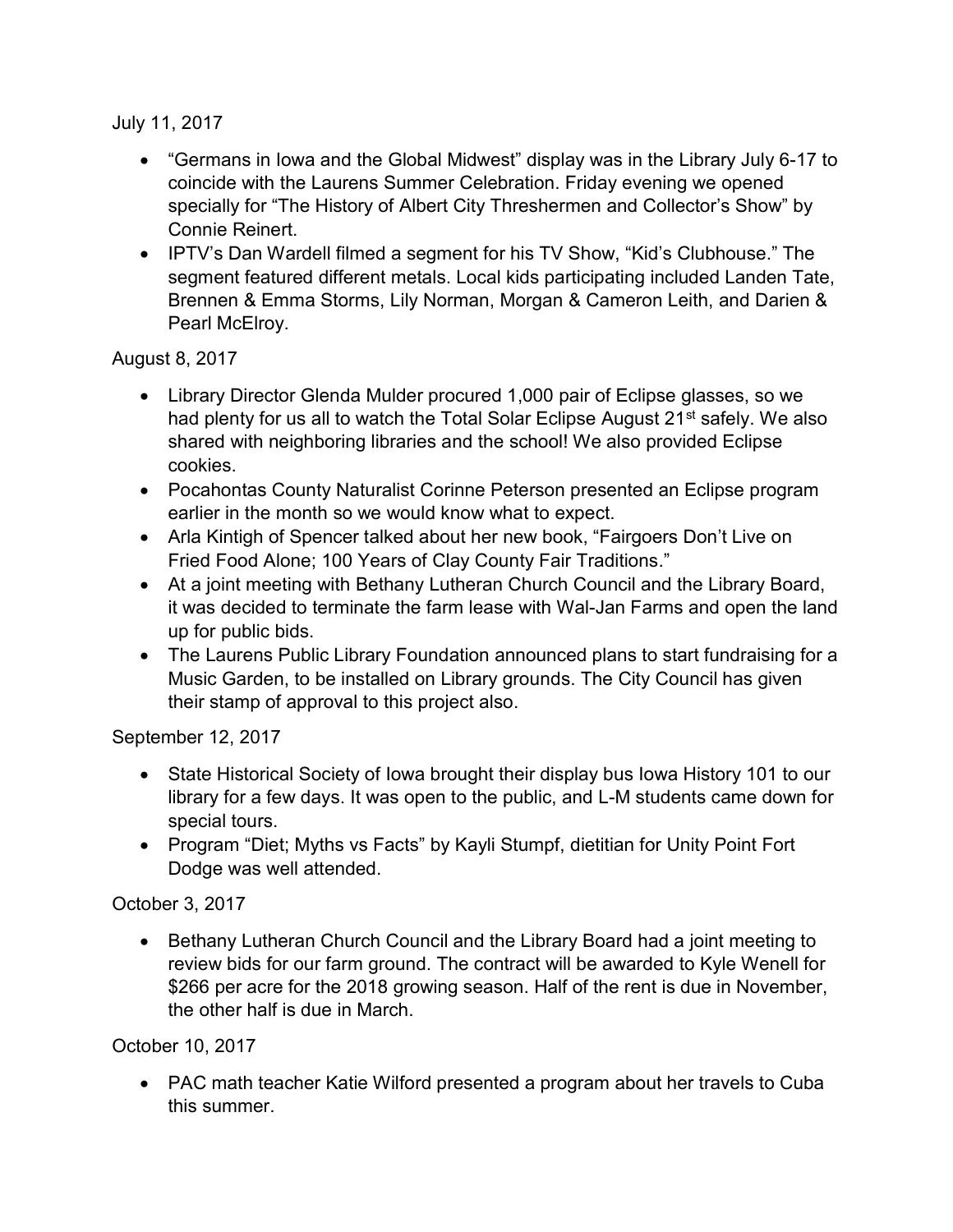July 11, 2017

- "Germans in Iowa and the Global Midwest" display was in the Library July 6-17 to coincide with the Laurens Summer Celebration. Friday evening we opened specially for "The History of Albert City Threshermen and Collector's Show" by Connie Reinert.
- IPTV's Dan Wardell filmed a segment for his TV Show, "Kid's Clubhouse." The segment featured different metals. Local kids participating included Landen Tate, Brennen & Emma Storms, Lily Norman, Morgan & Cameron Leith, and Darien & Pearl McElroy.

August 8, 2017

- Library Director Glenda Mulder procured 1,000 pair of Eclipse glasses, so we had plenty for us all to watch the Total Solar Eclipse August 21<sup>st</sup> safely. We also shared with neighboring libraries and the school! We also provided Eclipse cookies.
- Pocahontas County Naturalist Corinne Peterson presented an Eclipse program earlier in the month so we would know what to expect.
- Arla Kintigh of Spencer talked about her new book, "Fairgoers Don't Live on Fried Food Alone; 100 Years of Clay County Fair Traditions."
- At a joint meeting with Bethany Lutheran Church Council and the Library Board, it was decided to terminate the farm lease with Wal-Jan Farms and open the land up for public bids.
- The Laurens Public Library Foundation announced plans to start fundraising for a Music Garden, to be installed on Library grounds. The City Council has given their stamp of approval to this project also.

September 12, 2017

- State Historical Society of Iowa brought their display bus Iowa History 101 to our library for a few days. It was open to the public, and L-M students came down for special tours.
- Program "Diet; Myths vs Facts" by Kayli Stumpf, dietitian for Unity Point Fort Dodge was well attended.

October 3, 2017

• Bethany Lutheran Church Council and the Library Board had a joint meeting to review bids for our farm ground. The contract will be awarded to Kyle Wenell for \$266 per acre for the 2018 growing season. Half of the rent is due in November, the other half is due in March.

October 10, 2017

 PAC math teacher Katie Wilford presented a program about her travels to Cuba this summer.